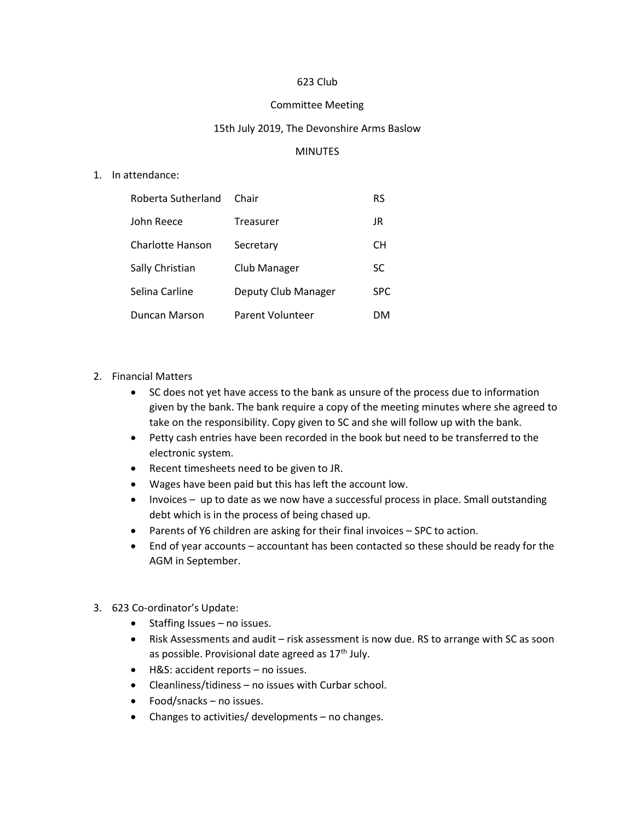### 623 Club

#### Committee Meeting

### 15th July 2019, The Devonshire Arms Baslow

### **MINUTES**

### 1. In attendance:

| Roberta Sutherland | Chair               | <b>RS</b>  |
|--------------------|---------------------|------------|
| John Reece         | Treasurer           | JR         |
| Charlotte Hanson   | Secretary           | CН         |
| Sally Christian    | Club Manager        | SC         |
| Selina Carline     | Deputy Club Manager | <b>SPC</b> |
| Duncan Marson      | Parent Volunteer    | DM         |

# 2. Financial Matters

- SC does not yet have access to the bank as unsure of the process due to information given by the bank. The bank require a copy of the meeting minutes where she agreed to take on the responsibility. Copy given to SC and she will follow up with the bank.
- Petty cash entries have been recorded in the book but need to be transferred to the electronic system.
- Recent timesheets need to be given to JR.
- Wages have been paid but this has left the account low.
- Invoices up to date as we now have a successful process in place. Small outstanding debt which is in the process of being chased up.
- Parents of Y6 children are asking for their final invoices SPC to action.
- End of year accounts accountant has been contacted so these should be ready for the AGM in September.

# 3. 623 Co-ordinator's Update:

- Staffing Issues no issues.
- Risk Assessments and audit risk assessment is now due. RS to arrange with SC as soon as possible. Provisional date agreed as 17<sup>th</sup> July.
- H&S: accident reports no issues.
- Cleanliness/tidiness no issues with Curbar school.
- Food/snacks no issues.
- Changes to activities/ developments no changes.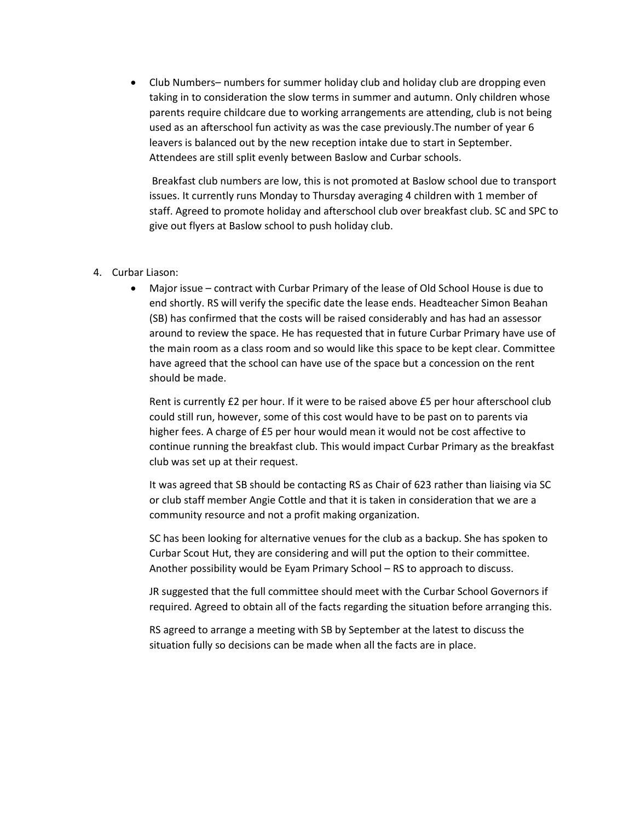• Club Numbers– numbers for summer holiday club and holiday club are dropping even taking in to consideration the slow terms in summer and autumn. Only children whose parents require childcare due to working arrangements are attending, club is not being used as an afterschool fun activity as was the case previously.The number of year 6 leavers is balanced out by the new reception intake due to start in September. Attendees are still split evenly between Baslow and Curbar schools.

Breakfast club numbers are low, this is not promoted at Baslow school due to transport issues. It currently runs Monday to Thursday averaging 4 children with 1 member of staff. Agreed to promote holiday and afterschool club over breakfast club. SC and SPC to give out flyers at Baslow school to push holiday club.

### 4. Curbar Liason:

• Major issue – contract with Curbar Primary of the lease of Old School House is due to end shortly. RS will verify the specific date the lease ends. Headteacher Simon Beahan (SB) has confirmed that the costs will be raised considerably and has had an assessor around to review the space. He has requested that in future Curbar Primary have use of the main room as a class room and so would like this space to be kept clear. Committee have agreed that the school can have use of the space but a concession on the rent should be made.

Rent is currently £2 per hour. If it were to be raised above £5 per hour afterschool club could still run, however, some of this cost would have to be past on to parents via higher fees. A charge of £5 per hour would mean it would not be cost affective to continue running the breakfast club. This would impact Curbar Primary as the breakfast club was set up at their request.

It was agreed that SB should be contacting RS as Chair of 623 rather than liaising via SC or club staff member Angie Cottle and that it is taken in consideration that we are a community resource and not a profit making organization.

SC has been looking for alternative venues for the club as a backup. She has spoken to Curbar Scout Hut, they are considering and will put the option to their committee. Another possibility would be Eyam Primary School – RS to approach to discuss.

JR suggested that the full committee should meet with the Curbar School Governors if required. Agreed to obtain all of the facts regarding the situation before arranging this.

RS agreed to arrange a meeting with SB by September at the latest to discuss the situation fully so decisions can be made when all the facts are in place.